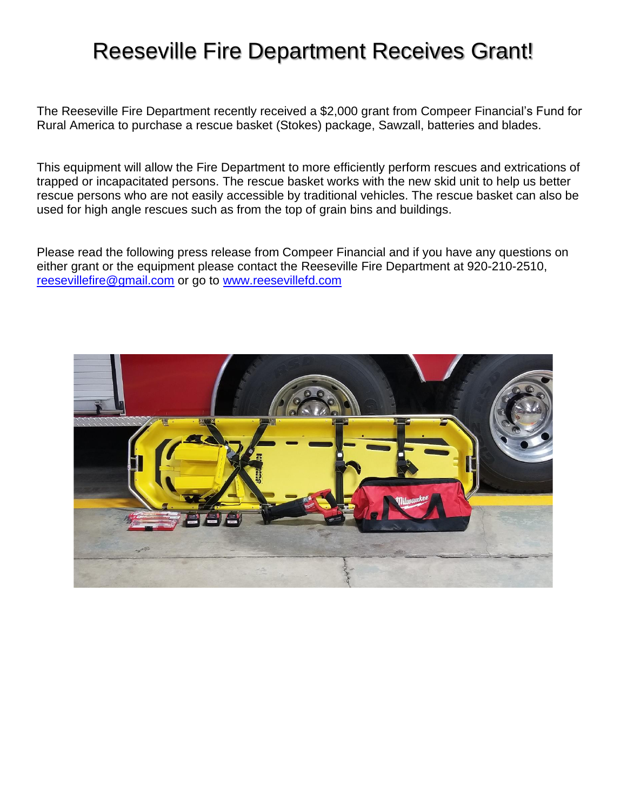# Reeseville Fire Department Receives Grant!

The Reeseville Fire Department recently received a \$2,000 grant from Compeer Financial's Fund for Rural America to purchase a rescue basket (Stokes) package, Sawzall, batteries and blades.

This equipment will allow the Fire Department to more efficiently perform rescues and extrications of trapped or incapacitated persons. The rescue basket works with the new skid unit to help us better rescue persons who are not easily accessible by traditional vehicles. The rescue basket can also be used for high angle rescues such as from the top of grain bins and buildings.

Please read the following press release from Compeer Financial and if you have any questions on either grant or the equipment please contact the Reeseville Fire Department at 920-210-2510, [reesevillefire@gmail.com](mailto:reesevillefire@gmail.com) or go to [www.reesevillefd.com](http://www.reesevillefd.com/)

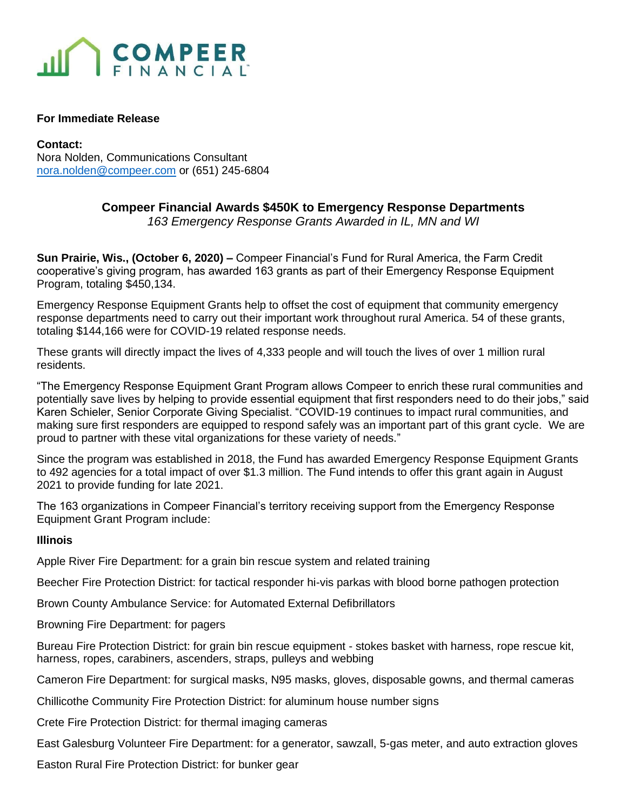

#### **For Immediate Release**

#### **Contact:**

Nora Nolden, Communications Consultant [nora.nolden@compeer.com](mailto:nora.nolden@compeer.com) or (651) 245-6804

## **Compeer Financial Awards \$450K to Emergency Response Departments**

*163 Emergency Response Grants Awarded in IL, MN and WI*

**Sun Prairie, Wis., (October 6, 2020) –** Compeer Financial's Fund for Rural America, the Farm Credit cooperative's giving program, has awarded 163 grants as part of their Emergency Response Equipment Program, totaling \$450,134.

Emergency Response Equipment Grants help to offset the cost of equipment that community emergency response departments need to carry out their important work throughout rural America. 54 of these grants, totaling \$144,166 were for COVID-19 related response needs.

These grants will directly impact the lives of 4,333 people and will touch the lives of over 1 million rural residents.

"The Emergency Response Equipment Grant Program allows Compeer to enrich these rural communities and potentially save lives by helping to provide essential equipment that first responders need to do their jobs," said Karen Schieler, Senior Corporate Giving Specialist. "COVID-19 continues to impact rural communities, and making sure first responders are equipped to respond safely was an important part of this grant cycle. We are proud to partner with these vital organizations for these variety of needs."

Since the program was established in 2018, the Fund has awarded Emergency Response Equipment Grants to 492 agencies for a total impact of over \$1.3 million. The Fund intends to offer this grant again in August 2021 to provide funding for late 2021.

The 163 organizations in Compeer Financial's territory receiving support from the Emergency Response Equipment Grant Program include:

### **Illinois**

Apple River Fire Department: for a grain bin rescue system and related training

Beecher Fire Protection District: for tactical responder hi-vis parkas with blood borne pathogen protection

Brown County Ambulance Service: for Automated External Defibrillators

Browning Fire Department: for pagers

Bureau Fire Protection District: for grain bin rescue equipment - stokes basket with harness, rope rescue kit, harness, ropes, carabiners, ascenders, straps, pulleys and webbing

Cameron Fire Department: for surgical masks, N95 masks, gloves, disposable gowns, and thermal cameras

Chillicothe Community Fire Protection District: for aluminum house number signs

Crete Fire Protection District: for thermal imaging cameras

East Galesburg Volunteer Fire Department: for a generator, sawzall, 5-gas meter, and auto extraction gloves

Easton Rural Fire Protection District: for bunker gear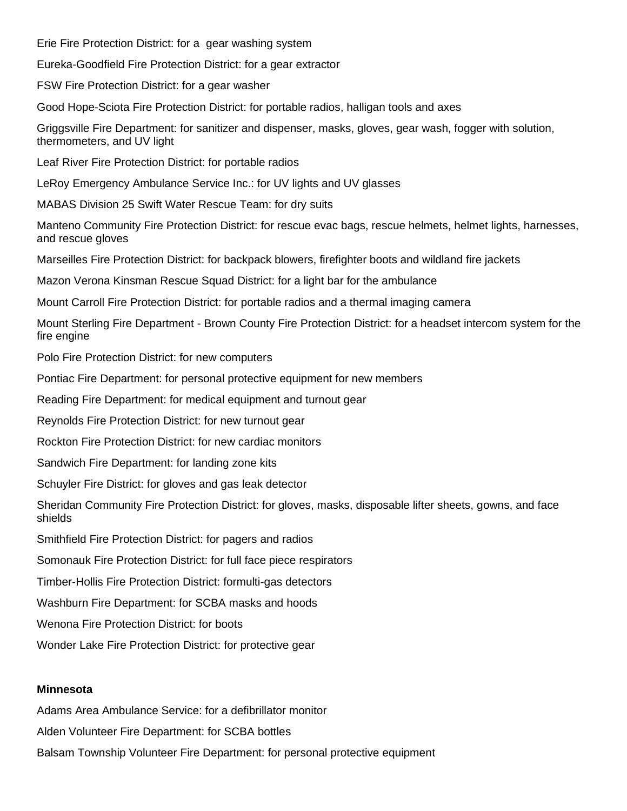Erie Fire Protection District: for a gear washing system

Eureka-Goodfield Fire Protection District: for a gear extractor

FSW Fire Protection District: for a gear washer

Good Hope-Sciota Fire Protection District: for portable radios, halligan tools and axes

Griggsville Fire Department: for sanitizer and dispenser, masks, gloves, gear wash, fogger with solution, thermometers, and UV light

Leaf River Fire Protection District: for portable radios

LeRoy Emergency Ambulance Service Inc.: for UV lights and UV glasses

MABAS Division 25 Swift Water Rescue Team: for dry suits

Manteno Community Fire Protection District: for rescue evac bags, rescue helmets, helmet lights, harnesses, and rescue gloves

Marseilles Fire Protection District: for backpack blowers, firefighter boots and wildland fire jackets

Mazon Verona Kinsman Rescue Squad District: for a light bar for the ambulance

Mount Carroll Fire Protection District: for portable radios and a thermal imaging camera

Mount Sterling Fire Department - Brown County Fire Protection District: for a headset intercom system for the fire engine

Polo Fire Protection District: for new computers

Pontiac Fire Department: for personal protective equipment for new members

Reading Fire Department: for medical equipment and turnout gear

Reynolds Fire Protection District: for new turnout gear

Rockton Fire Protection District: for new cardiac monitors

Sandwich Fire Department: for landing zone kits

Schuyler Fire District: for gloves and gas leak detector

Sheridan Community Fire Protection District: for gloves, masks, disposable lifter sheets, gowns, and face shields

Smithfield Fire Protection District: for pagers and radios

Somonauk Fire Protection District: for full face piece respirators

Timber-Hollis Fire Protection District: formulti-gas detectors

Washburn Fire Department: for SCBA masks and hoods

Wenona Fire Protection District: for boots

Wonder Lake Fire Protection District: for protective gear

#### **Minnesota**

Adams Area Ambulance Service: for a defibrillator monitor

Alden Volunteer Fire Department: for SCBA bottles

Balsam Township Volunteer Fire Department: for personal protective equipment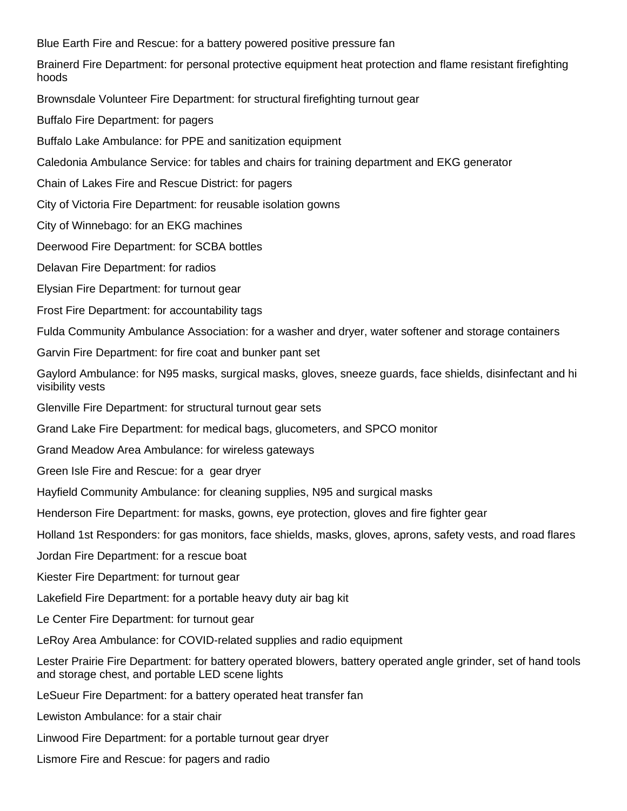Blue Earth Fire and Rescue: for a battery powered positive pressure fan

Brainerd Fire Department: for personal protective equipment heat protection and flame resistant firefighting hoods

Brownsdale Volunteer Fire Department: for structural firefighting turnout gear

Buffalo Fire Department: for pagers

Buffalo Lake Ambulance: for PPE and sanitization equipment

Caledonia Ambulance Service: for tables and chairs for training department and EKG generator

Chain of Lakes Fire and Rescue District: for pagers

City of Victoria Fire Department: for reusable isolation gowns

City of Winnebago: for an EKG machines

Deerwood Fire Department: for SCBA bottles

Delavan Fire Department: for radios

Elysian Fire Department: for turnout gear

Frost Fire Department: for accountability tags

Fulda Community Ambulance Association: for a washer and dryer, water softener and storage containers

Garvin Fire Department: for fire coat and bunker pant set

Gaylord Ambulance: for N95 masks, surgical masks, gloves, sneeze guards, face shields, disinfectant and hi visibility vests

Glenville Fire Department: for structural turnout gear sets

Grand Lake Fire Department: for medical bags, glucometers, and SPCO monitor

Grand Meadow Area Ambulance: for wireless gateways

Green Isle Fire and Rescue: for a gear dryer

Hayfield Community Ambulance: for cleaning supplies, N95 and surgical masks

Henderson Fire Department: for masks, gowns, eye protection, gloves and fire fighter gear

Holland 1st Responders: for gas monitors, face shields, masks, gloves, aprons, safety vests, and road flares

Jordan Fire Department: for a rescue boat

Kiester Fire Department: for turnout gear

Lakefield Fire Department: for a portable heavy duty air bag kit

Le Center Fire Department: for turnout gear

LeRoy Area Ambulance: for COVID-related supplies and radio equipment

Lester Prairie Fire Department: for battery operated blowers, battery operated angle grinder, set of hand tools and storage chest, and portable LED scene lights

LeSueur Fire Department: for a battery operated heat transfer fan

Lewiston Ambulance: for a stair chair

Linwood Fire Department: for a portable turnout gear dryer

Lismore Fire and Rescue: for pagers and radio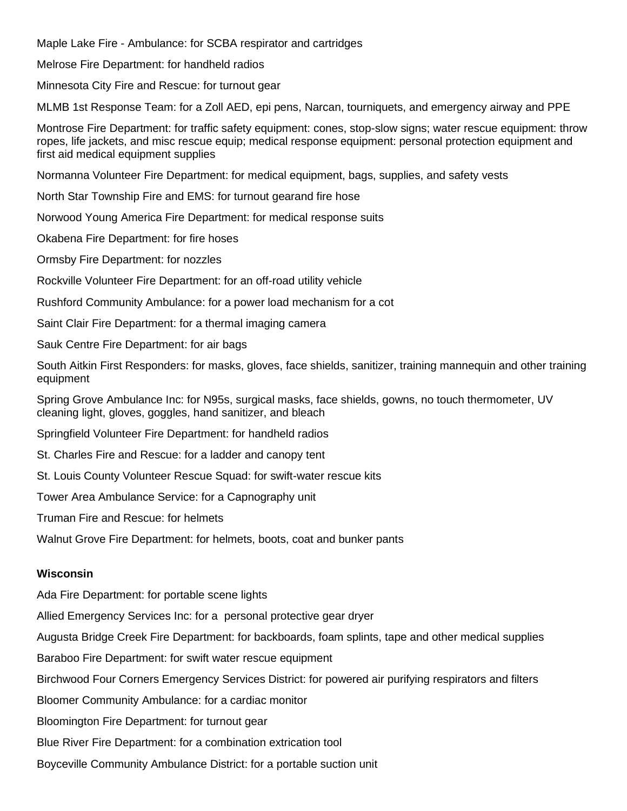Maple Lake Fire - Ambulance: for SCBA respirator and cartridges

Melrose Fire Department: for handheld radios

Minnesota City Fire and Rescue: for turnout gear

MLMB 1st Response Team: for a Zoll AED, epi pens, Narcan, tourniquets, and emergency airway and PPE

Montrose Fire Department: for traffic safety equipment: cones, stop-slow signs; water rescue equipment: throw ropes, life jackets, and misc rescue equip; medical response equipment: personal protection equipment and first aid medical equipment supplies

Normanna Volunteer Fire Department: for medical equipment, bags, supplies, and safety vests

North Star Township Fire and EMS: for turnout gearand fire hose

Norwood Young America Fire Department: for medical response suits

Okabena Fire Department: for fire hoses

Ormsby Fire Department: for nozzles

Rockville Volunteer Fire Department: for an off-road utility vehicle

Rushford Community Ambulance: for a power load mechanism for a cot

Saint Clair Fire Department: for a thermal imaging camera

Sauk Centre Fire Department: for air bags

South Aitkin First Responders: for masks, gloves, face shields, sanitizer, training mannequin and other training equipment

Spring Grove Ambulance Inc: for N95s, surgical masks, face shields, gowns, no touch thermometer, UV cleaning light, gloves, goggles, hand sanitizer, and bleach

Springfield Volunteer Fire Department: for handheld radios

St. Charles Fire and Rescue: for a ladder and canopy tent

St. Louis County Volunteer Rescue Squad: for swift-water rescue kits

Tower Area Ambulance Service: for a Capnography unit

Truman Fire and Rescue: for helmets

Walnut Grove Fire Department: for helmets, boots, coat and bunker pants

### **Wisconsin**

Ada Fire Department: for portable scene lights

Allied Emergency Services Inc: for a personal protective gear dryer

Augusta Bridge Creek Fire Department: for backboards, foam splints, tape and other medical supplies

Baraboo Fire Department: for swift water rescue equipment

Birchwood Four Corners Emergency Services District: for powered air purifying respirators and filters

Bloomer Community Ambulance: for a cardiac monitor

Bloomington Fire Department: for turnout gear

Blue River Fire Department: for a combination extrication tool

Boyceville Community Ambulance District: for a portable suction unit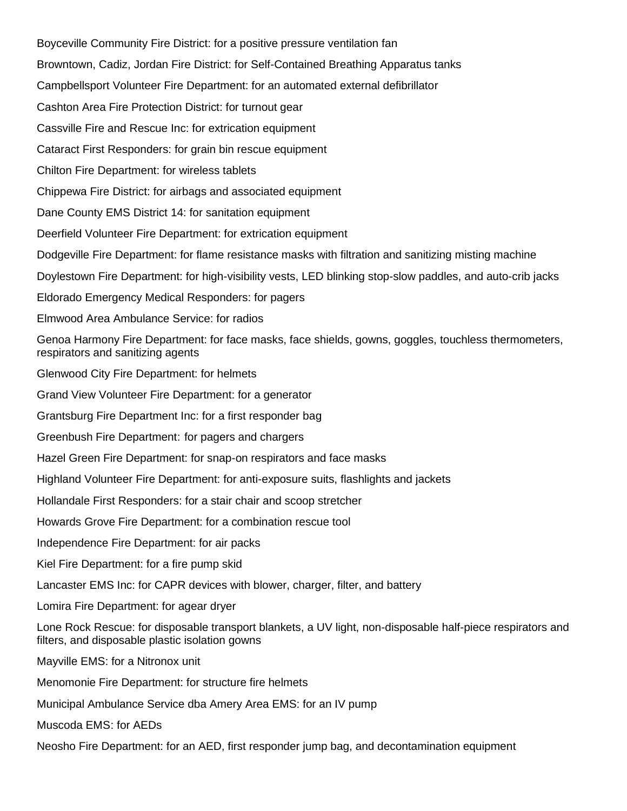Boyceville Community Fire District: for a positive pressure ventilation fan Browntown, Cadiz, Jordan Fire District: for Self-Contained Breathing Apparatus tanks Campbellsport Volunteer Fire Department: for an automated external defibrillator Cashton Area Fire Protection District: for turnout gear Cassville Fire and Rescue Inc: for extrication equipment Cataract First Responders: for grain bin rescue equipment Chilton Fire Department: for wireless tablets Chippewa Fire District: for airbags and associated equipment Dane County EMS District 14: for sanitation equipment Deerfield Volunteer Fire Department: for extrication equipment Dodgeville Fire Department: for flame resistance masks with filtration and sanitizing misting machine Doylestown Fire Department: for high-visibility vests, LED blinking stop-slow paddles, and auto-crib jacks Eldorado Emergency Medical Responders: for pagers Elmwood Area Ambulance Service: for radios Genoa Harmony Fire Department: for face masks, face shields, gowns, goggles, touchless thermometers, respirators and sanitizing agents Glenwood City Fire Department: for helmets Grand View Volunteer Fire Department: for a generator Grantsburg Fire Department Inc: for a first responder bag Greenbush Fire Department: for pagers and chargers Hazel Green Fire Department: for snap-on respirators and face masks Highland Volunteer Fire Department: for anti-exposure suits, flashlights and jackets Hollandale First Responders: for a stair chair and scoop stretcher Howards Grove Fire Department: for a combination rescue tool Independence Fire Department: for air packs Kiel Fire Department: for a fire pump skid Lancaster EMS Inc: for CAPR devices with blower, charger, filter, and battery Lomira Fire Department: for agear dryer Lone Rock Rescue: for disposable transport blankets, a UV light, non-disposable half-piece respirators and filters, and disposable plastic isolation gowns Mayville EMS: for a Nitronox unit Menomonie Fire Department: for structure fire helmets Municipal Ambulance Service dba Amery Area EMS: for an IV pump Muscoda EMS: for AEDs

Neosho Fire Department: for an AED, first responder jump bag, and decontamination equipment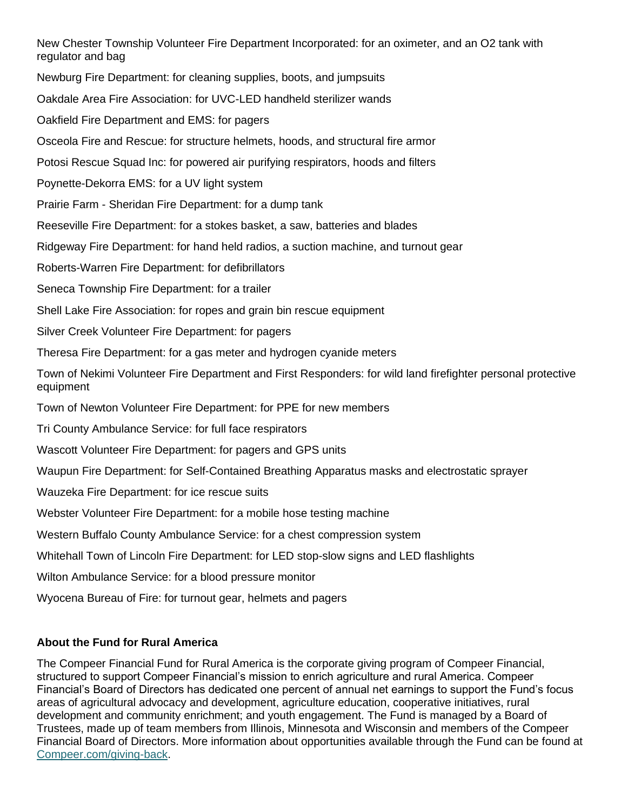New Chester Township Volunteer Fire Department Incorporated: for an oximeter, and an O2 tank with regulator and bag Newburg Fire Department: for cleaning supplies, boots, and jumpsuits Oakdale Area Fire Association: for UVC-LED handheld sterilizer wands Oakfield Fire Department and EMS: for pagers Osceola Fire and Rescue: for structure helmets, hoods, and structural fire armor Potosi Rescue Squad Inc: for powered air purifying respirators, hoods and filters Poynette-Dekorra EMS: for a UV light system Prairie Farm - Sheridan Fire Department: for a dump tank Reeseville Fire Department: for a stokes basket, a saw, batteries and blades Ridgeway Fire Department: for hand held radios, a suction machine, and turnout gear Roberts-Warren Fire Department: for defibrillators Seneca Township Fire Department: for a trailer Shell Lake Fire Association: for ropes and grain bin rescue equipment Silver Creek Volunteer Fire Department: for pagers Theresa Fire Department: for a gas meter and hydrogen cyanide meters Town of Nekimi Volunteer Fire Department and First Responders: for wild land firefighter personal protective equipment Town of Newton Volunteer Fire Department: for PPE for new members Tri County Ambulance Service: for full face respirators Wascott Volunteer Fire Department: for pagers and GPS units Waupun Fire Department: for Self-Contained Breathing Apparatus masks and electrostatic sprayer Wauzeka Fire Department: for ice rescue suits Webster Volunteer Fire Department: for a mobile hose testing machine Western Buffalo County Ambulance Service: for a chest compression system Whitehall Town of Lincoln Fire Department: for LED stop-slow signs and LED flashlights Wilton Ambulance Service: for a blood pressure monitor Wyocena Bureau of Fire: for turnout gear, helmets and pagers

## **About the Fund for Rural America**

The Compeer Financial Fund for Rural America is the corporate giving program of Compeer Financial, structured to support Compeer Financial's mission to enrich agriculture and rural America. Compeer Financial's Board of Directors has dedicated one percent of annual net earnings to support the Fund's focus areas of agricultural advocacy and development, agriculture education, cooperative initiatives, rural development and community enrichment; and youth engagement. The Fund is managed by a Board of Trustees, made up of team members from Illinois, Minnesota and Wisconsin and members of the Compeer Financial Board of Directors. More information about opportunities available through the Fund can be found at [Compeer.com/giving-back.](https://compeer.com/Home/Investing-in-Rural-Communities/Giving-Back)